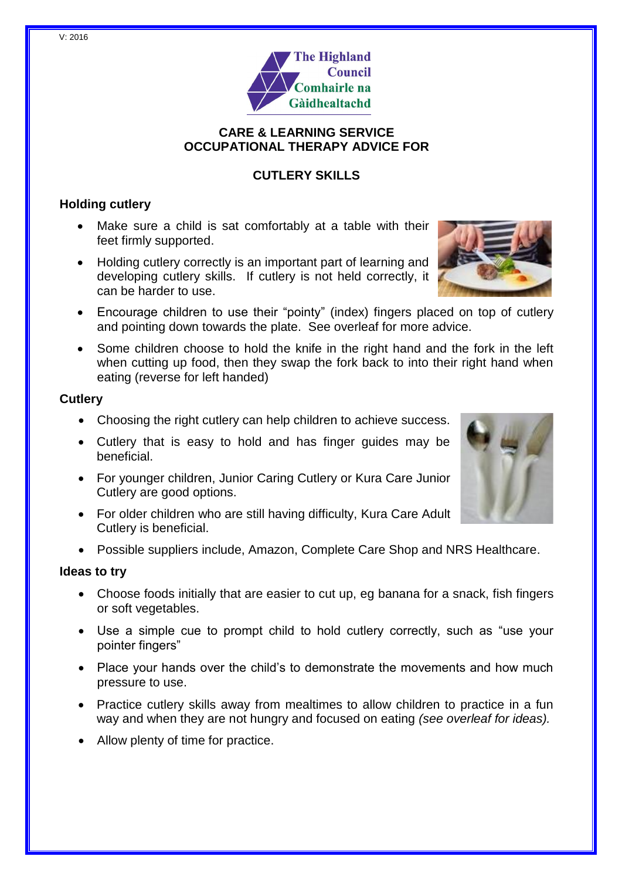

### **CARE & LEARNING SERVICE OCCUPATIONAL THERAPY ADVICE FOR**

# **CUTLERY SKILLS**

## **Holding cutlery**

- Make sure a child is sat comfortably at a table with their feet firmly supported.
- Holding cutlery correctly is an important part of learning and developing cutlery skills. If cutlery is not held correctly, it can be harder to use.



- Encourage children to use their "pointy" (index) fingers placed on top of cutlery and pointing down towards the plate. See overleaf for more advice.
- Some children choose to hold the knife in the right hand and the fork in the left when cutting up food, then they swap the fork back to into their right hand when eating (reverse for left handed)

### **Cutlery**

- Choosing the right cutlery can help children to achieve success.
- Cutlery that is easy to hold and has finger guides may be beneficial.
- For younger children, Junior Caring Cutlery or Kura Care Junior Cutlery are good options.
- For older children who are still having difficulty, Kura Care Adult Cutlery is beneficial.
- Possible suppliers include, Amazon, Complete Care Shop and NRS Healthcare.

### **Ideas to try**

- Choose foods initially that are easier to cut up, eg banana for a snack, fish fingers or soft vegetables.
- Use a simple cue to prompt child to hold cutlery correctly, such as "use your pointer fingers"
- Place your hands over the child's to demonstrate the movements and how much pressure to use.
- Practice cutlery skills away from mealtimes to allow children to practice in a fun way and when they are not hungry and focused on eating *(see overleaf for ideas).*
- Allow plenty of time for practice.